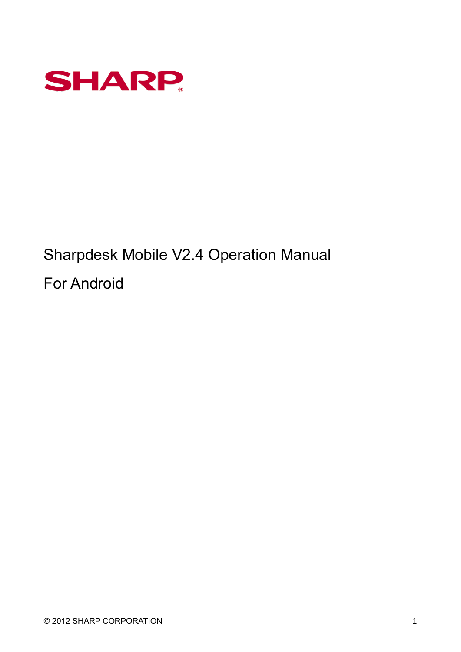

Sharpdesk Mobile V2.4 Operation Manual For Android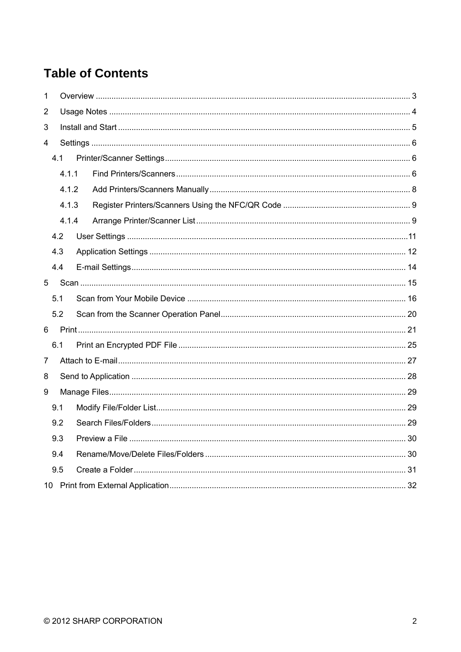# **Table of Contents**

| 1              |     |       |  |  |  |
|----------------|-----|-------|--|--|--|
| $\overline{2}$ |     |       |  |  |  |
| 3              |     |       |  |  |  |
| $\overline{4}$ |     |       |  |  |  |
|                | 4.1 |       |  |  |  |
|                |     | 4.1.1 |  |  |  |
|                |     | 4.1.2 |  |  |  |
|                |     | 4.1.3 |  |  |  |
|                |     | 4.1.4 |  |  |  |
|                | 4.2 |       |  |  |  |
|                | 4.3 |       |  |  |  |
|                | 4.4 |       |  |  |  |
| 5              |     |       |  |  |  |
|                | 5.1 |       |  |  |  |
|                | 5.2 |       |  |  |  |
| 6              |     |       |  |  |  |
|                | 6.1 |       |  |  |  |
| $\overline{7}$ |     |       |  |  |  |
| 8              |     |       |  |  |  |
| 9              |     |       |  |  |  |
|                | 9.1 |       |  |  |  |
|                | 9.2 |       |  |  |  |
|                | 9.3 |       |  |  |  |
|                | 9.4 |       |  |  |  |
|                | 9.5 |       |  |  |  |
|                |     |       |  |  |  |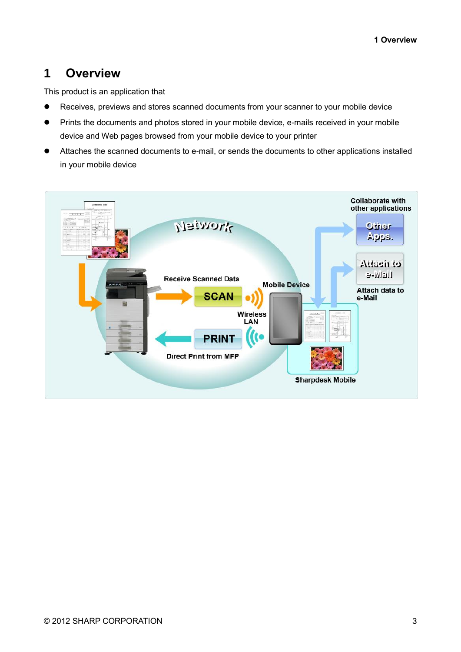## <span id="page-2-0"></span>**1 Overview**

This product is an application that

- Receives, previews and stores scanned documents from your scanner to your mobile device
- Prints the documents and photos stored in your mobile device, e-mails received in your mobile device and Web pages browsed from your mobile device to your printer
- Attaches the scanned documents to e-mail, or sends the documents to other applications installed in your mobile device

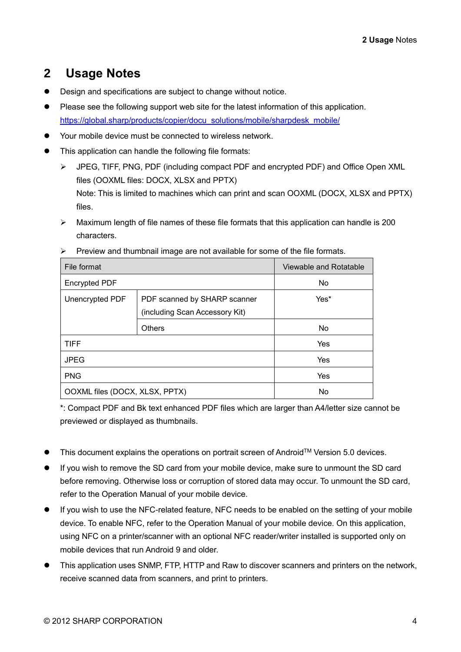# <span id="page-3-0"></span>**2 Usage Notes**

- ⚫ Design and specifications are subject to change without notice.
- ⚫ Please see the following support web site for the latest information of this application. [https://global.sharp/products/copier/docu\\_solutions/mobile/sharpdesk\\_mobile/](https://global.sharp/products/copier/docu_solutions/mobile/sharpdesk_mobile/)
- Your mobile device must be connected to wireless network.
- This application can handle the following file formats:
	- ➢ JPEG, TIFF, PNG, PDF (including compact PDF and encrypted PDF) and Office Open XML files (OOXML files: DOCX, XLSX and PPTX) Note: This is limited to machines which can print and scan OOXML (DOCX, XLSX and PPTX) files.
	- ➢ Maximum length of file names of these file formats that this application can handle is 200 characters.

| File format                    | Viewable and Rotatable                                         |           |
|--------------------------------|----------------------------------------------------------------|-----------|
| <b>Encrypted PDF</b>           | <b>No</b>                                                      |           |
| Unencrypted PDF                | PDF scanned by SHARP scanner<br>(including Scan Accessory Kit) | Yes*      |
|                                |                                                                |           |
|                                | <b>Others</b>                                                  | <b>No</b> |
| <b>TIFF</b>                    | <b>Yes</b>                                                     |           |
| <b>JPEG</b>                    |                                                                | Yes       |
| <b>PNG</b>                     | Yes                                                            |           |
| OOXML files (DOCX, XLSX, PPTX) | <b>No</b>                                                      |           |

 $\triangleright$  Preview and thumbnail image are not available for some of the file formats.

\*: Compact PDF and Bk text enhanced PDF files which are larger than A4/letter size cannot be previewed or displayed as thumbnails.

- This document explains the operations on portrait screen of Android<sup>™</sup> Version 5.0 devices.
- If you wish to remove the SD card from your mobile device, make sure to unmount the SD card before removing. Otherwise loss or corruption of stored data may occur. To unmount the SD card, refer to the Operation Manual of your mobile device.
- If you wish to use the NFC-related feature, NFC needs to be enabled on the setting of your mobile device. To enable NFC, refer to the Operation Manual of your mobile device. On this application, using NFC on a printer/scanner with an optional NFC reader/writer installed is supported only on mobile devices that run Android 9 and older.
- This application uses SNMP, FTP, HTTP and Raw to discover scanners and printers on the network, receive scanned data from scanners, and print to printers.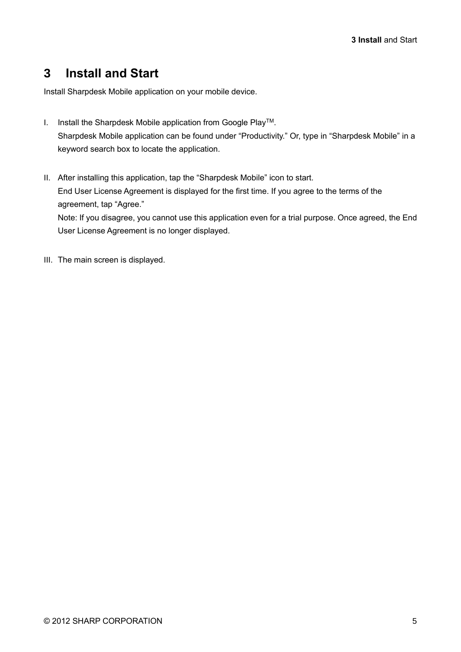## <span id="page-4-0"></span>**3 Install and Start**

Install Sharpdesk Mobile application on your mobile device.

- I. Install the Sharpdesk Mobile application from Google PlayTM. Sharpdesk Mobile application can be found under "Productivity." Or, type in "Sharpdesk Mobile" in a keyword search box to locate the application.
- II. After installing this application, tap the "Sharpdesk Mobile" icon to start. End User License Agreement is displayed for the first time. If you agree to the terms of the agreement, tap "Agree." Note: If you disagree, you cannot use this application even for a trial purpose. Once agreed, the End User License Agreement is no longer displayed.
- III. The main screen is displayed.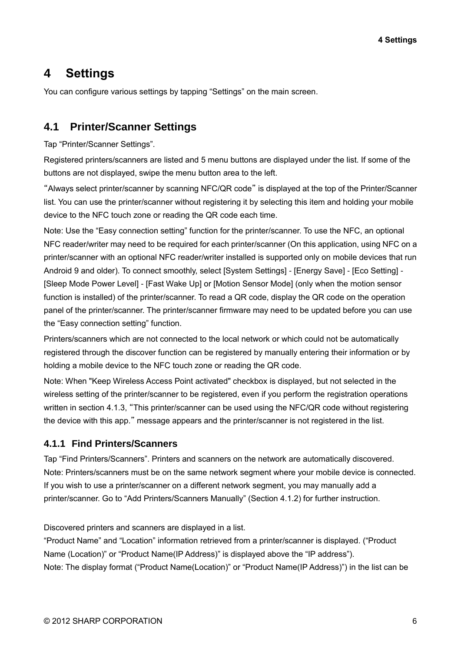# <span id="page-5-0"></span>**4 Settings**

You can configure various settings by tapping "Settings" on the main screen.

## <span id="page-5-1"></span>**4.1 Printer/Scanner Settings**

Tap "Printer/Scanner Settings".

Registered printers/scanners are listed and 5 menu buttons are displayed under the list. If some of the buttons are not displayed, swipe the menu button area to the left.

"Always select printer/scanner by scanning NFC/QR code" is displayed at the top of the Printer/Scanner list. You can use the printer/scanner without registering it by selecting this item and holding your mobile device to the NFC touch zone or reading the QR code each time.

Note: Use the "Easy connection setting" function for the printer/scanner. To use the NFC, an optional NFC reader/writer may need to be required for each printer/scanner (On this application, using NFC on a printer/scanner with an optional NFC reader/writer installed is supported only on mobile devices that run Android 9 and older). To connect smoothly, select [System Settings] - [Energy Save] - [Eco Setting] - [Sleep Mode Power Level] - [Fast Wake Up] or [Motion Sensor Mode] (only when the motion sensor function is installed) of the printer/scanner. To read a QR code, display the QR code on the operation panel of the printer/scanner. The printer/scanner firmware may need to be updated before you can use the "Easy connection setting" function.

Printers/scanners which are not connected to the local network or which could not be automatically registered through the discover function can be registered by manually entering their information or by holding a mobile device to the NFC touch zone or reading the QR code.

Note: When "Keep Wireless Access Point activated" checkbox is displayed, but not selected in the wireless setting of the printer/scanner to be registered, even if you perform the registration operations written in section [4.1.3,](#page-7-1) "This printer/scanner can be used using the NFC/QR code without registering the device with this app." message appears and the printer/scanner is not registered in the list.

#### <span id="page-5-2"></span>**4.1.1 Find Printers/Scanners**

Tap "Find Printers/Scanners". Printers and scanners on the network are automatically discovered. Note: Printers/scanners must be on the same network segment where your mobile device is connected. If you wish to use a printer/scanner on a different network segment, you may manually add a printer/scanner. Go to "Add Printers/Scanners Manually" (Section [4.1.2\)](#page-7-0) for further instruction.

Discovered printers and scanners are displayed in a list.

"Product Name" and "Location" information retrieved from a printer/scanner is displayed. ("Product Name (Location)" or "Product Name(IP Address)" is displayed above the "IP address"). Note: The display format ("Product Name(Location)" or "Product Name(IP Address)") in the list can be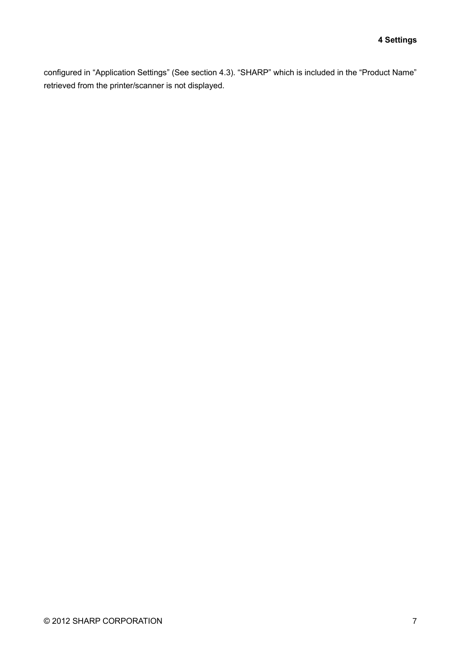configured in "Application Settings" (See section [4.3\)](#page-11-0). "SHARP" which is included in the "Product Name" retrieved from the printer/scanner is not displayed.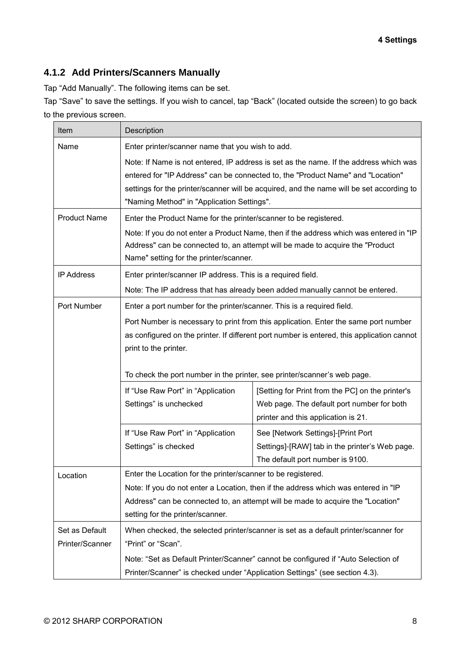### <span id="page-7-1"></span><span id="page-7-0"></span>**4.1.2 Add Printers/Scanners Manually**

Tap "Add Manually". The following items can be set.

Tap "Save" to save the settings. If you wish to cancel, tap "Back" (located outside the screen) to go back to the previous screen.

| Item                              | Description                                                                                                                                                                                                                                                                                                        |                                                                                                                                       |  |  |
|-----------------------------------|--------------------------------------------------------------------------------------------------------------------------------------------------------------------------------------------------------------------------------------------------------------------------------------------------------------------|---------------------------------------------------------------------------------------------------------------------------------------|--|--|
| Name                              | Enter printer/scanner name that you wish to add.                                                                                                                                                                                                                                                                   |                                                                                                                                       |  |  |
|                                   | Note: If Name is not entered, IP address is set as the name. If the address which was<br>entered for "IP Address" can be connected to, the "Product Name" and "Location"<br>settings for the printer/scanner will be acquired, and the name will be set according to<br>"Naming Method" in "Application Settings". |                                                                                                                                       |  |  |
| <b>Product Name</b>               | Enter the Product Name for the printer/scanner to be registered.                                                                                                                                                                                                                                                   |                                                                                                                                       |  |  |
|                                   | Note: If you do not enter a Product Name, then if the address which was entered in "IP<br>Address" can be connected to, an attempt will be made to acquire the "Product<br>Name" setting for the printer/scanner.                                                                                                  |                                                                                                                                       |  |  |
| <b>IP Address</b>                 | Enter printer/scanner IP address. This is a required field.                                                                                                                                                                                                                                                        |                                                                                                                                       |  |  |
|                                   |                                                                                                                                                                                                                                                                                                                    | Note: The IP address that has already been added manually cannot be entered.                                                          |  |  |
| Port Number                       | Enter a port number for the printer/scanner. This is a required field.                                                                                                                                                                                                                                             |                                                                                                                                       |  |  |
|                                   | Port Number is necessary to print from this application. Enter the same port number<br>as configured on the printer. If different port number is entered, this application cannot<br>print to the printer.                                                                                                         |                                                                                                                                       |  |  |
|                                   | To check the port number in the printer, see printer/scanner's web page.                                                                                                                                                                                                                                           |                                                                                                                                       |  |  |
|                                   | If "Use Raw Port" in "Application<br>Settings" is unchecked                                                                                                                                                                                                                                                        | [Setting for Print from the PC] on the printer's<br>Web page. The default port number for both<br>printer and this application is 21. |  |  |
|                                   | If "Use Raw Port" in "Application<br>Settings" is checked                                                                                                                                                                                                                                                          | See [Network Settings]-[Print Port<br>Settings]-[RAW] tab in the printer's Web page.<br>The default port number is 9100.              |  |  |
| Location                          | Enter the Location for the printer/scanner to be registered.                                                                                                                                                                                                                                                       |                                                                                                                                       |  |  |
|                                   | Note: If you do not enter a Location, then if the address which was entered in "IP<br>Address" can be connected to, an attempt will be made to acquire the "Location"<br>setting for the printer/scanner.                                                                                                          |                                                                                                                                       |  |  |
| Set as Default<br>Printer/Scanner | When checked, the selected printer/scanner is set as a default printer/scanner for<br>"Print" or "Scan".                                                                                                                                                                                                           |                                                                                                                                       |  |  |
|                                   | Note: "Set as Default Printer/Scanner" cannot be configured if "Auto Selection of<br>Printer/Scanner" is checked under "Application Settings" (see section 4.3).                                                                                                                                                   |                                                                                                                                       |  |  |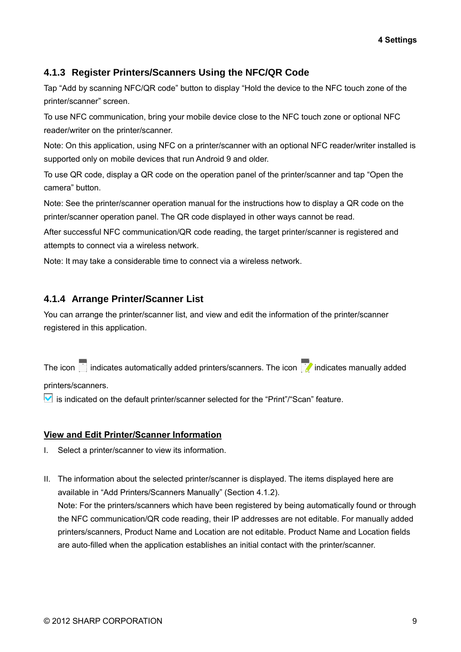### **4.1.3 Register Printers/Scanners Using the NFC/QR Code**

Tap "Add by scanning NFC/QR code" button to display "Hold the device to the NFC touch zone of the printer/scanner" screen.

To use NFC communication, bring your mobile device close to the NFC touch zone or optional NFC reader/writer on the printer/scanner.

Note: On this application, using NFC on a printer/scanner with an optional NFC reader/writer installed is supported only on mobile devices that run Android 9 and older.

To use QR code, display a QR code on the operation panel of the printer/scanner and tap "Open the camera" button.

Note: See the printer/scanner operation manual for the instructions how to display a QR code on the printer/scanner operation panel. The QR code displayed in other ways cannot be read.

After successful NFC communication/QR code reading, the target printer/scanner is registered and attempts to connect via a wireless network.

Note: It may take a considerable time to connect via a wireless network.

#### <span id="page-8-0"></span>**4.1.4 Arrange Printer/Scanner List**

You can arrange the printer/scanner list, and view and edit the information of the printer/scanner registered in this application.

The icon indicates automatically added printers/scanners. The icon  $\mathbb{F}$  indicates manually added

printers/scanners.

 $\blacktriangleright$  is indicated on the default printer/scanner selected for the "Print"/"Scan" feature.

#### **View and Edit Printer/Scanner Information**

- I. Select a printer/scanner to view its information.
- II. The information about the selected printer/scanner is displayed. The items displayed here are available in "Add Printers/Scanners Manually" (Section [4.1.2\)](#page-7-0). Note: For the printers/scanners which have been registered by being automatically found or through the NFC communication/QR code reading, their IP addresses are not editable. For manually added printers/scanners, Product Name and Location are not editable. Product Name and Location fields are auto-filled when the application establishes an initial contact with the printer/scanner.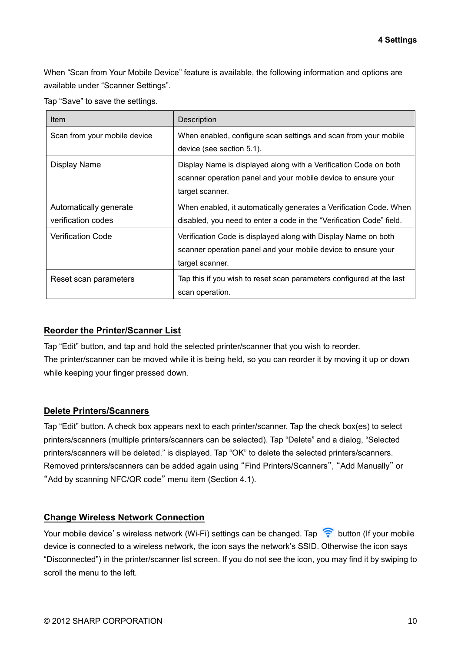When "Scan from Your Mobile Device" feature is available, the following information and options are available under "Scanner Settings".

Tap "Save" to save the settings.

| Item                                         | Description                                                                                                                                          |
|----------------------------------------------|------------------------------------------------------------------------------------------------------------------------------------------------------|
| Scan from your mobile device                 | When enabled, configure scan settings and scan from your mobile<br>device (see section 5.1).                                                         |
| Display Name                                 | Display Name is displayed along with a Verification Code on both<br>scanner operation panel and your mobile device to ensure your<br>target scanner. |
| Automatically generate<br>verification codes | When enabled, it automatically generates a Verification Code. When<br>disabled, you need to enter a code in the "Verification Code" field.           |
| <b>Verification Code</b>                     | Verification Code is displayed along with Display Name on both<br>scanner operation panel and your mobile device to ensure your<br>target scanner.   |
| Reset scan parameters                        | Tap this if you wish to reset scan parameters configured at the last<br>scan operation.                                                              |

#### **Reorder the Printer/Scanner List**

Tap "Edit" button, and tap and hold the selected printer/scanner that you wish to reorder. The printer/scanner can be moved while it is being held, so you can reorder it by moving it up or down while keeping your finger pressed down.

#### **Delete Printers/Scanners**

Tap "Edit" button. A check box appears next to each printer/scanner. Tap the check box(es) to select printers/scanners (multiple printers/scanners can be selected). Tap "Delete" and a dialog, "Selected printers/scanners will be deleted." is displayed. Tap "OK" to delete the selected printers/scanners. Removed printers/scanners can be added again using "Find Printers/Scanners", "Add Manually" or "Add by scanning NFC/QR code" menu item (Section [4.1\)](#page-5-1).

#### **Change Wireless Network Connection**

Your mobile device's wireless network (Wi-Fi) settings can be changed. Tap  $\widehat{S}$  button (If your mobile device is connected to a wireless network, the icon says the network's SSID. Otherwise the icon says "Disconnected") in the printer/scanner list screen. If you do not see the icon, you may find it by swiping to scroll the menu to the left.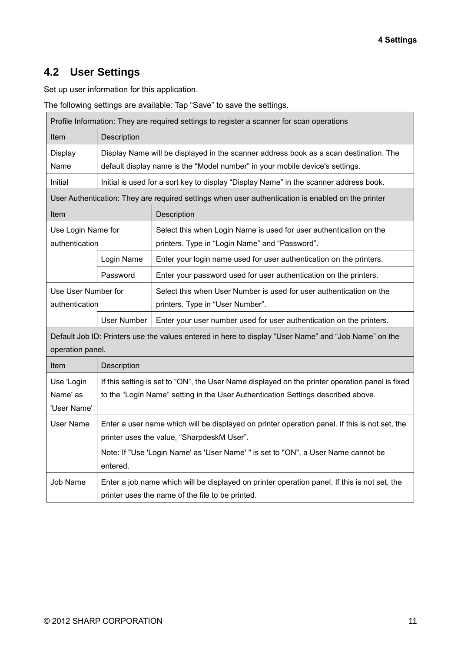## <span id="page-10-0"></span>**4.2 User Settings**

Set up user information for this application.

The following settings are available: Tap "Save" to save the settings.

|                                                                                                                          |                                                                                                                                                                       | Profile Information: They are required settings to register a scanner for scan operations                                                                                           |  |
|--------------------------------------------------------------------------------------------------------------------------|-----------------------------------------------------------------------------------------------------------------------------------------------------------------------|-------------------------------------------------------------------------------------------------------------------------------------------------------------------------------------|--|
| Item<br>Description                                                                                                      |                                                                                                                                                                       |                                                                                                                                                                                     |  |
| Display<br>Name                                                                                                          | Display Name will be displayed in the scanner address book as a scan destination. The<br>default display name is the "Model number" in your mobile device's settings. |                                                                                                                                                                                     |  |
| Initial                                                                                                                  |                                                                                                                                                                       | Initial is used for a sort key to display "Display Name" in the scanner address book.                                                                                               |  |
|                                                                                                                          |                                                                                                                                                                       | User Authentication: They are required settings when user authentication is enabled on the printer                                                                                  |  |
| Item                                                                                                                     | Description                                                                                                                                                           |                                                                                                                                                                                     |  |
| Use Login Name for<br>authentication                                                                                     |                                                                                                                                                                       | Select this when Login Name is used for user authentication on the<br>printers. Type in "Login Name" and "Password".                                                                |  |
|                                                                                                                          | Login Name                                                                                                                                                            | Enter your login name used for user authentication on the printers.                                                                                                                 |  |
|                                                                                                                          | Password                                                                                                                                                              | Enter your password used for user authentication on the printers.                                                                                                                   |  |
| Use User Number for<br>authentication                                                                                    |                                                                                                                                                                       | Select this when User Number is used for user authentication on the<br>printers. Type in "User Number".                                                                             |  |
|                                                                                                                          | <b>User Number</b>                                                                                                                                                    | Enter your user number used for user authentication on the printers.                                                                                                                |  |
| Default Job ID: Printers use the values entered in here to display "User Name" and "Job Name" on the<br>operation panel. |                                                                                                                                                                       |                                                                                                                                                                                     |  |
| Item                                                                                                                     | Description                                                                                                                                                           |                                                                                                                                                                                     |  |
| Use 'Login<br>Name' as<br>'User Name'                                                                                    |                                                                                                                                                                       | If this setting is set to "ON", the User Name displayed on the printer operation panel is fixed<br>to the "Login Name" setting in the User Authentication Settings described above. |  |
| <b>User Name</b>                                                                                                         | Enter a user name which will be displayed on printer operation panel. If this is not set, the<br>printer uses the value, "SharpdeskM User".                           |                                                                                                                                                                                     |  |
|                                                                                                                          | entered.                                                                                                                                                              | Note: If "Use 'Login Name' as 'User Name' " is set to "ON", a User Name cannot be                                                                                                   |  |
| Job Name                                                                                                                 |                                                                                                                                                                       | Enter a job name which will be displayed on printer operation panel. If this is not set, the<br>printer uses the name of the file to be printed.                                    |  |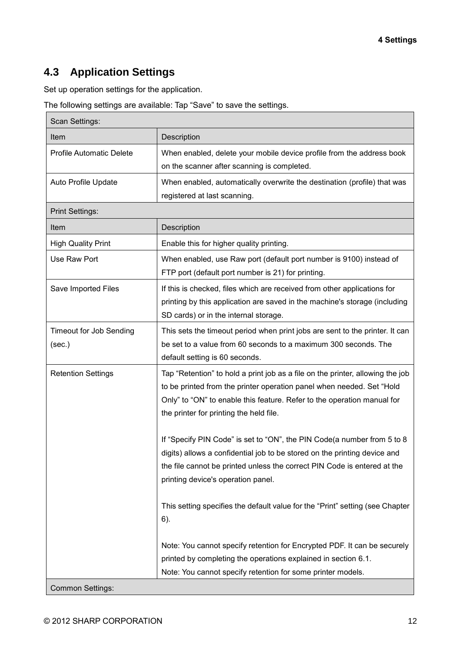## <span id="page-11-0"></span>**4.3 Application Settings**

Set up operation settings for the application.

The following settings are available: Tap "Save" to save the settings.

| Scan Settings:                           |                                                                                                                                                                                                                                                                               |  |  |
|------------------------------------------|-------------------------------------------------------------------------------------------------------------------------------------------------------------------------------------------------------------------------------------------------------------------------------|--|--|
| Item                                     | Description                                                                                                                                                                                                                                                                   |  |  |
| <b>Profile Automatic Delete</b>          | When enabled, delete your mobile device profile from the address book<br>on the scanner after scanning is completed.                                                                                                                                                          |  |  |
| Auto Profile Update                      | When enabled, automatically overwrite the destination (profile) that was<br>registered at last scanning.                                                                                                                                                                      |  |  |
| <b>Print Settings:</b>                   |                                                                                                                                                                                                                                                                               |  |  |
| Item                                     | Description                                                                                                                                                                                                                                                                   |  |  |
| <b>High Quality Print</b>                | Enable this for higher quality printing.                                                                                                                                                                                                                                      |  |  |
| Use Raw Port                             | When enabled, use Raw port (default port number is 9100) instead of<br>FTP port (default port number is 21) for printing.                                                                                                                                                     |  |  |
| Save Imported Files                      | If this is checked, files which are received from other applications for<br>printing by this application are saved in the machine's storage (including<br>SD cards) or in the internal storage.                                                                               |  |  |
| <b>Timeout for Job Sending</b><br>(sec.) | This sets the timeout period when print jobs are sent to the printer. It can<br>be set to a value from 60 seconds to a maximum 300 seconds. The<br>default setting is 60 seconds.                                                                                             |  |  |
| <b>Retention Settings</b>                | Tap "Retention" to hold a print job as a file on the printer, allowing the job<br>to be printed from the printer operation panel when needed. Set "Hold<br>Only" to "ON" to enable this feature. Refer to the operation manual for<br>the printer for printing the held file. |  |  |
|                                          | If "Specify PIN Code" is set to "ON", the PIN Code(a number from 5 to 8<br>digits) allows a confidential job to be stored on the printing device and<br>the file cannot be printed unless the correct PIN Code is entered at the<br>printing device's operation panel.        |  |  |
|                                          | This setting specifies the default value for the "Print" setting (see Chapter<br>6).                                                                                                                                                                                          |  |  |
| <b>Common Settings:</b>                  | Note: You cannot specify retention for Encrypted PDF. It can be securely<br>printed by completing the operations explained in section 6.1.<br>Note: You cannot specify retention for some printer models.                                                                     |  |  |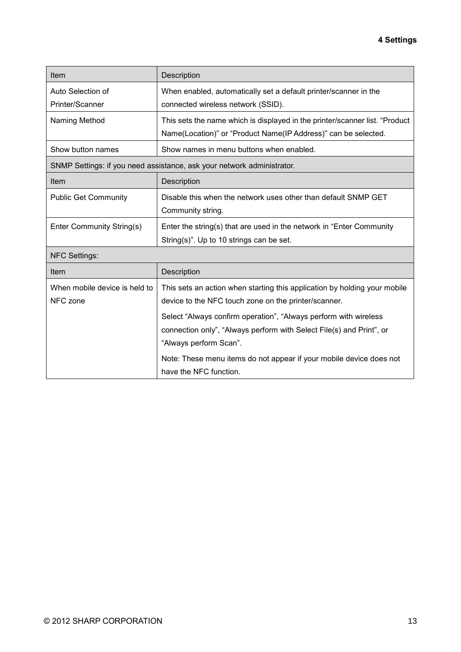| Item                          | Description                                                                 |
|-------------------------------|-----------------------------------------------------------------------------|
| Auto Selection of             | When enabled, automatically set a default printer/scanner in the            |
| Printer/Scanner               | connected wireless network (SSID).                                          |
| Naming Method                 | This sets the name which is displayed in the printer/scanner list. "Product |
|                               | Name(Location)" or "Product Name(IP Address)" can be selected.              |
| Show button names             | Show names in menu buttons when enabled.                                    |
|                               | SNMP Settings: if you need assistance, ask your network administrator.      |
| Item                          | Description                                                                 |
| <b>Public Get Community</b>   | Disable this when the network uses other than default SNMP GET              |
|                               | Community string.                                                           |
| Enter Community String(s)     | Enter the string(s) that are used in the network in "Enter Community"       |
|                               | String(s)". Up to 10 strings can be set.                                    |
| <b>NFC Settings:</b>          |                                                                             |
| Item                          | Description                                                                 |
| When mobile device is held to | This sets an action when starting this application by holding your mobile   |
| NFC zone                      | device to the NFC touch zone on the printer/scanner.                        |
|                               | Select "Always confirm operation", "Always perform with wireless            |
|                               | connection only", "Always perform with Select File(s) and Print", or        |
|                               | "Always perform Scan".                                                      |
|                               | Note: These menu items do not appear if your mobile device does not         |
|                               | have the NFC function.                                                      |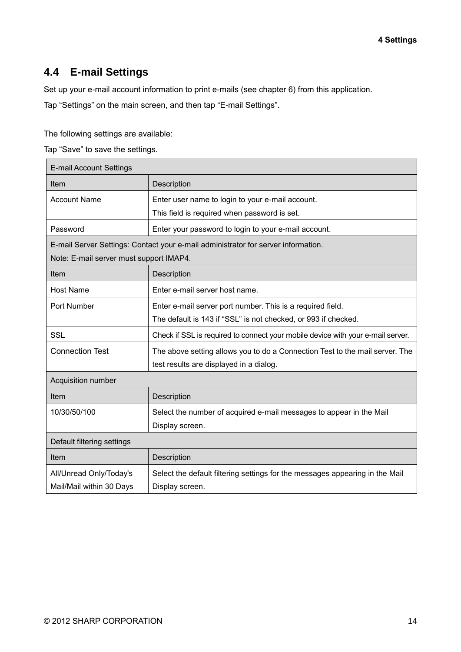## <span id="page-13-0"></span>**4.4 E-mail Settings**

Set up your e-mail account information to print e-mails (see chapter [6\)](#page-20-0) from this application.

Tap "Settings" on the main screen, and then tap "E-mail Settings".

The following settings are available:

Tap "Save" to save the settings.

| <b>E-mail Account Settings</b>          |                                                                                   |  |  |  |
|-----------------------------------------|-----------------------------------------------------------------------------------|--|--|--|
| Item                                    | Description                                                                       |  |  |  |
| <b>Account Name</b>                     | Enter user name to login to your e-mail account.                                  |  |  |  |
|                                         | This field is required when password is set.                                      |  |  |  |
| Password                                | Enter your password to login to your e-mail account.                              |  |  |  |
|                                         | E-mail Server Settings: Contact your e-mail administrator for server information. |  |  |  |
| Note: E-mail server must support IMAP4. |                                                                                   |  |  |  |
| Item                                    | Description                                                                       |  |  |  |
| <b>Host Name</b>                        | Enter e-mail server host name.                                                    |  |  |  |
| Port Number                             | Enter e-mail server port number. This is a required field.                        |  |  |  |
|                                         | The default is 143 if "SSL" is not checked, or 993 if checked.                    |  |  |  |
| <b>SSL</b>                              | Check if SSL is required to connect your mobile device with your e-mail server.   |  |  |  |
| <b>Connection Test</b>                  | The above setting allows you to do a Connection Test to the mail server. The      |  |  |  |
|                                         | test results are displayed in a dialog.                                           |  |  |  |
| Acquisition number                      |                                                                                   |  |  |  |
| Item                                    | Description                                                                       |  |  |  |
| 10/30/50/100                            | Select the number of acquired e-mail messages to appear in the Mail               |  |  |  |
|                                         | Display screen.                                                                   |  |  |  |
| Default filtering settings              |                                                                                   |  |  |  |
| Item                                    | Description                                                                       |  |  |  |
| All/Unread Only/Today's                 | Select the default filtering settings for the messages appearing in the Mail      |  |  |  |
| Mail/Mail within 30 Days                | Display screen.                                                                   |  |  |  |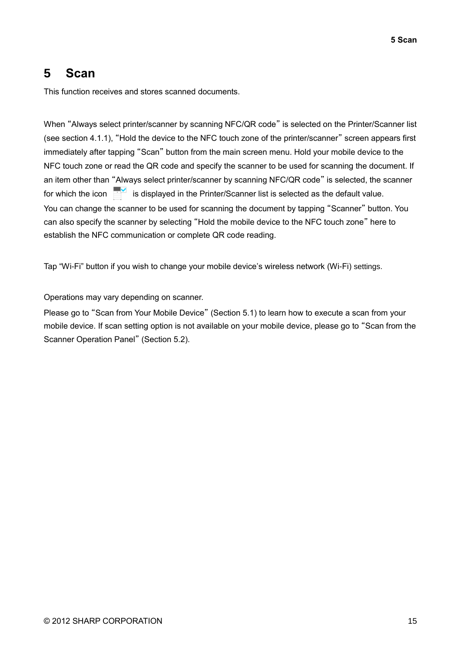## <span id="page-14-0"></span>**5 Scan**

This function receives and stores scanned documents.

When "Always select printer/scanner by scanning NFC/QR code" is selected on the Printer/Scanner list (see section [4.1.1\)](#page-5-2), "Hold the device to the NFC touch zone of the printer/scanner" screen appears first immediately after tapping "Scan" button from the main screen menu. Hold your mobile device to the NFC touch zone or read the QR code and specify the scanner to be used for scanning the document. If an item other than "Always select printer/scanner by scanning NFC/QR code" is selected, the scanner for which the icon  $\mathbf{F}^{\mathbf{v}}$  is displayed in the Printer/Scanner list is selected as the default value. You can change the scanner to be used for scanning the document by tapping "Scanner" button. You can also specify the scanner by selecting "Hold the mobile device to the NFC touch zone" here to establish the NFC communication or complete QR code reading.

Tap "Wi-Fi" button if you wish to change your mobile device's wireless network (Wi-Fi) settings.

Operations may vary depending on scanner.

Please go to "Scan from Your Mobile Device" (Section [5.1\)](#page-15-0) to learn how to execute a scan from your mobile device. If scan setting option is not available on your mobile device, please go to "Scan from the Scanner Operation Panel" (Section [5.2\)](#page-19-0).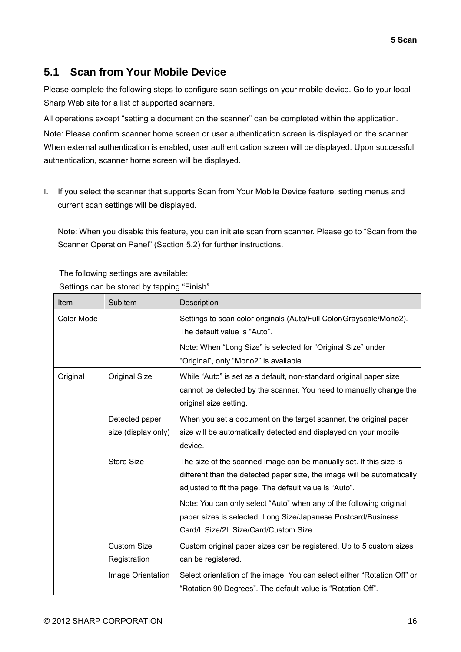## <span id="page-15-0"></span>**5.1 Scan from Your Mobile Device**

Please complete the following steps to configure scan settings on your mobile device. Go to your local Sharp Web site for a list of supported scanners.

All operations except "setting a document on the scanner" can be completed within the application.

Note: Please confirm scanner home screen or user authentication screen is displayed on the scanner. When external authentication is enabled, user authentication screen will be displayed. Upon successful authentication, scanner home screen will be displayed.

I. If you select the scanner that supports Scan from Your Mobile Device feature, setting menus and current scan settings will be displayed.

Note: When you disable this feature, you can initiate scan from scanner. Please go to "Scan from the Scanner Operation Panel" (Section [5.2\)](#page-19-0) for further instructions.

The following settings are available:

Settings can be stored by tapping "Finish".

| Item       | Subitem                               | Description                                                                                                                                                                                                                                                                                                                                                                              |
|------------|---------------------------------------|------------------------------------------------------------------------------------------------------------------------------------------------------------------------------------------------------------------------------------------------------------------------------------------------------------------------------------------------------------------------------------------|
| Color Mode |                                       | Settings to scan color originals (Auto/Full Color/Grayscale/Mono2).<br>The default value is "Auto".                                                                                                                                                                                                                                                                                      |
|            |                                       | Note: When "Long Size" is selected for "Original Size" under<br>"Original", only "Mono2" is available.                                                                                                                                                                                                                                                                                   |
| Original   | Original Size                         | While "Auto" is set as a default, non-standard original paper size<br>cannot be detected by the scanner. You need to manually change the<br>original size setting.                                                                                                                                                                                                                       |
|            | Detected paper<br>size (display only) | When you set a document on the target scanner, the original paper<br>size will be automatically detected and displayed on your mobile<br>device.                                                                                                                                                                                                                                         |
|            | Store Size                            | The size of the scanned image can be manually set. If this size is<br>different than the detected paper size, the image will be automatically<br>adjusted to fit the page. The default value is "Auto".<br>Note: You can only select "Auto" when any of the following original<br>paper sizes is selected: Long Size/Japanese Postcard/Business<br>Card/L Size/2L Size/Card/Custom Size. |
|            | <b>Custom Size</b><br>Registration    | Custom original paper sizes can be registered. Up to 5 custom sizes<br>can be registered.                                                                                                                                                                                                                                                                                                |
|            | Image Orientation                     | Select orientation of the image. You can select either "Rotation Off" or<br>"Rotation 90 Degrees". The default value is "Rotation Off".                                                                                                                                                                                                                                                  |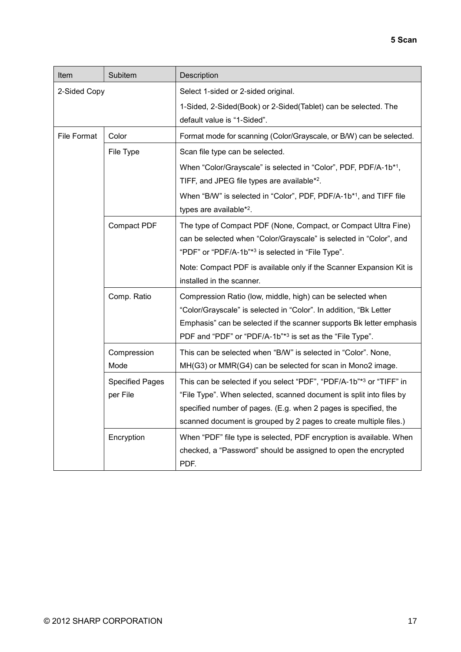| Item         | Subitem                            | Description                                                                                                                                                                                                                                                                        |
|--------------|------------------------------------|------------------------------------------------------------------------------------------------------------------------------------------------------------------------------------------------------------------------------------------------------------------------------------|
| 2-Sided Copy |                                    | Select 1-sided or 2-sided original.                                                                                                                                                                                                                                                |
|              |                                    | 1-Sided, 2-Sided(Book) or 2-Sided(Tablet) can be selected. The<br>default value is "1-Sided".                                                                                                                                                                                      |
| File Format  | Color                              | Format mode for scanning (Color/Grayscale, or B/W) can be selected.                                                                                                                                                                                                                |
|              | File Type                          | Scan file type can be selected.                                                                                                                                                                                                                                                    |
|              |                                    | When "Color/Grayscale" is selected in "Color", PDF, PDF/A-1b <sup>*1</sup> ,<br>TIFF, and JPEG file types are available <sup>*2</sup> .                                                                                                                                            |
|              |                                    | When "B/W" is selected in "Color", PDF, PDF/A-1b*1, and TIFF file<br>types are available* <sup>2</sup> .                                                                                                                                                                           |
|              | Compact PDF                        | The type of Compact PDF (None, Compact, or Compact Ultra Fine)<br>can be selected when "Color/Grayscale" is selected in "Color", and<br>"PDF" or "PDF/A-1b"* <sup>3</sup> is selected in "File Type".                                                                              |
|              |                                    | Note: Compact PDF is available only if the Scanner Expansion Kit is<br>installed in the scanner.                                                                                                                                                                                   |
|              | Comp. Ratio                        | Compression Ratio (low, middle, high) can be selected when<br>"Color/Grayscale" is selected in "Color". In addition, "Bk Letter<br>Emphasis" can be selected if the scanner supports Bk letter emphasis<br>PDF and "PDF" or "PDF/A-1b"*3 is set as the "File Type".                |
|              | Compression<br>Mode                | This can be selected when "B/W" is selected in "Color". None,<br>MH(G3) or MMR(G4) can be selected for scan in Mono2 image.                                                                                                                                                        |
|              | <b>Specified Pages</b><br>per File | This can be selected if you select "PDF", "PDF/A-1b"*3 or "TIFF" in<br>"File Type". When selected, scanned document is split into files by<br>specified number of pages. (E.g. when 2 pages is specified, the<br>scanned document is grouped by 2 pages to create multiple files.) |
|              | Encryption                         | When "PDF" file type is selected, PDF encryption is available. When<br>checked, a "Password" should be assigned to open the encrypted<br>PDF.                                                                                                                                      |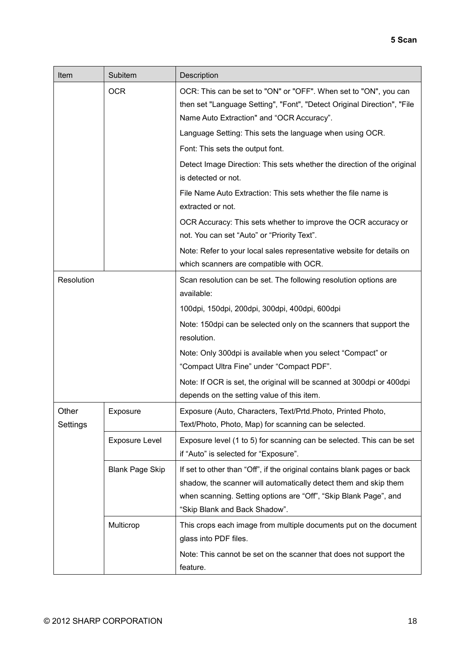| Item              | Subitem                | Description                                                                                                                                                                                                                                       |
|-------------------|------------------------|---------------------------------------------------------------------------------------------------------------------------------------------------------------------------------------------------------------------------------------------------|
|                   | <b>OCR</b>             | OCR: This can be set to "ON" or "OFF". When set to "ON", you can<br>then set "Language Setting", "Font", "Detect Original Direction", "File<br>Name Auto Extraction" and "OCR Accuracy".                                                          |
|                   |                        | Language Setting: This sets the language when using OCR.                                                                                                                                                                                          |
|                   |                        | Font: This sets the output font.                                                                                                                                                                                                                  |
|                   |                        | Detect Image Direction: This sets whether the direction of the original<br>is detected or not.                                                                                                                                                    |
|                   |                        | File Name Auto Extraction: This sets whether the file name is<br>extracted or not.                                                                                                                                                                |
|                   |                        | OCR Accuracy: This sets whether to improve the OCR accuracy or<br>not. You can set "Auto" or "Priority Text".                                                                                                                                     |
|                   |                        | Note: Refer to your local sales representative website for details on<br>which scanners are compatible with OCR.                                                                                                                                  |
| Resolution        |                        | Scan resolution can be set. The following resolution options are<br>available:                                                                                                                                                                    |
|                   |                        | 100dpi, 150dpi, 200dpi, 300dpi, 400dpi, 600dpi                                                                                                                                                                                                    |
|                   |                        | Note: 150dpi can be selected only on the scanners that support the<br>resolution.                                                                                                                                                                 |
|                   |                        | Note: Only 300dpi is available when you select "Compact" or<br>"Compact Ultra Fine" under "Compact PDF".                                                                                                                                          |
|                   |                        | Note: If OCR is set, the original will be scanned at 300dpi or 400dpi<br>depends on the setting value of this item.                                                                                                                               |
| Other<br>Settings | Exposure               | Exposure (Auto, Characters, Text/Prtd.Photo, Printed Photo,<br>Text/Photo, Photo, Map) for scanning can be selected.                                                                                                                              |
|                   | <b>Exposure Level</b>  | Exposure level (1 to 5) for scanning can be selected. This can be set<br>if "Auto" is selected for "Exposure".                                                                                                                                    |
|                   | <b>Blank Page Skip</b> | If set to other than "Off", if the original contains blank pages or back<br>shadow, the scanner will automatically detect them and skip them<br>when scanning. Setting options are "Off", "Skip Blank Page", and<br>"Skip Blank and Back Shadow". |
|                   | Multicrop              | This crops each image from multiple documents put on the document<br>glass into PDF files.<br>Note: This cannot be set on the scanner that does not support the                                                                                   |
|                   |                        | feature.                                                                                                                                                                                                                                          |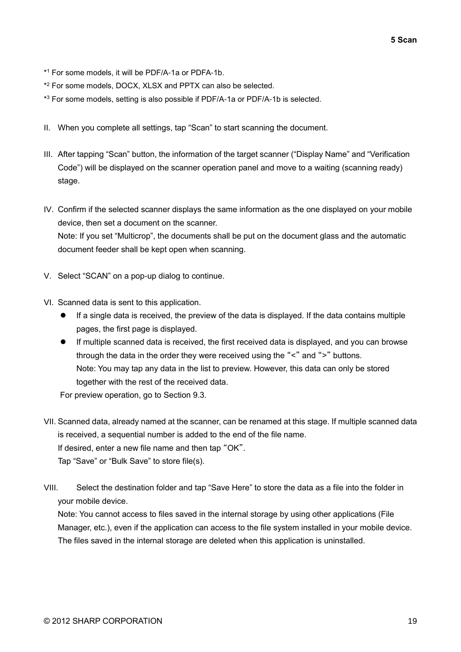- \* <sup>1</sup> For some models, it will be PDF/A-1a or PDFA-1b.
- \* <sup>2</sup> For some models, DOCX, XLSX and PPTX can also be selected.
- \* <sup>3</sup> For some models, setting is also possible if PDF/A-1a or PDF/A-1b is selected.
- II. When you complete all settings, tap "Scan" to start scanning the document.
- III. After tapping "Scan" button, the information of the target scanner ("Display Name" and "Verification Code") will be displayed on the scanner operation panel and move to a waiting (scanning ready) stage.
- IV. Confirm if the selected scanner displays the same information as the one displayed on your mobile device, then set a document on the scanner. Note: If you set "Multicrop", the documents shall be put on the document glass and the automatic document feeder shall be kept open when scanning.
- V. Select "SCAN" on a pop-up dialog to continue.
- <span id="page-18-0"></span>VI. Scanned data is sent to this application.
	- ⚫ If a single data is received, the preview of the data is displayed. If the data contains multiple pages, the first page is displayed.
	- If multiple scanned data is received, the first received data is displayed, and you can browse through the data in the order they were received using the "<" and ">" buttons. Note: You may tap any data in the list to preview. However, this data can only be stored together with the rest of the received data.

For preview operation, go to Section [9.3.](#page-29-0)

- VII. Scanned data, already named at the scanner, can be renamed at this stage. If multiple scanned data is received, a sequential number is added to the end of the file name. If desired, enter a new file name and then tap "OK". Tap "Save" or "Bulk Save" to store file(s).
- VIII. Select the destination folder and tap "Save Here" to store the data as a file into the folder in your mobile device.

Note: You cannot access to files saved in the internal storage by using other applications (File Manager, etc.), even if the application can access to the file system installed in your mobile device. The files saved in the internal storage are deleted when this application is uninstalled.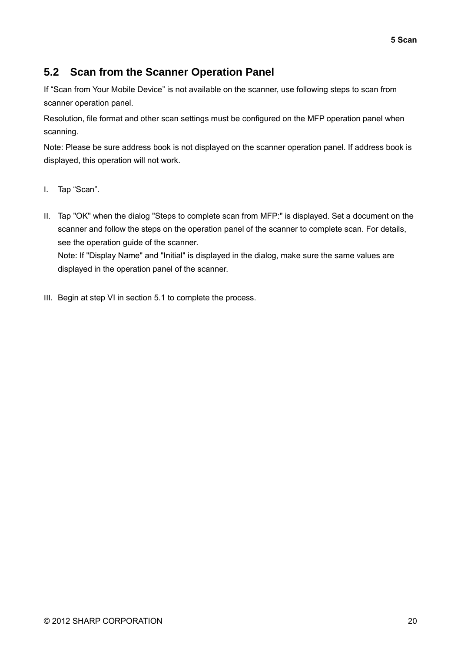## <span id="page-19-0"></span>**5.2 Scan from the Scanner Operation Panel**

If "Scan from Your Mobile Device" is not available on the scanner, use following steps to scan from scanner operation panel.

Resolution, file format and other scan settings must be configured on the MFP operation panel when scanning.

Note: Please be sure address book is not displayed on the scanner operation panel. If address book is displayed, this operation will not work.

- I. Tap "Scan".
- II. Tap "OK" when the dialog "Steps to complete scan from MFP:" is displayed. Set a document on the scanner and follow the steps on the operation panel of the scanner to complete scan. For details, see the operation guide of the scanner. Note: If "Display Name" and "Initial" is displayed in the dialog, make sure the same values are displayed in the operation panel of the scanner.
- III. Begin at step [VI](#page-18-0) in section [5.1](#page-15-0) to complete the process.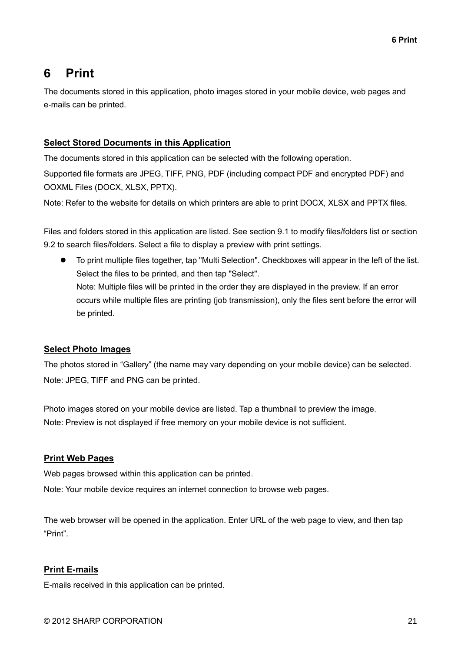## <span id="page-20-0"></span>**6 Print**

The documents stored in this application, photo images stored in your mobile device, web pages and e-mails can be printed.

#### **Select Stored Documents in this Application**

The documents stored in this application can be selected with the following operation.

Supported file formats are JPEG, TIFF, PNG, PDF (including compact PDF and encrypted PDF) and OOXML Files (DOCX, XLSX, PPTX).

Note: Refer to the website for details on which printers are able to print DOCX, XLSX and PPTX files.

Files and folders stored in this application are listed. See section [9.1](#page-28-1) to modify files/folders list or section [9.2](#page-28-2) to search files/folders. Select a file to display a preview with print settings.

⚫ To print multiple files together, tap "Multi Selection". Checkboxes will appear in the left of the list. Select the files to be printed, and then tap "Select". Note: Multiple files will be printed in the order they are displayed in the preview. If an error occurs while multiple files are printing (job transmission), only the files sent before the error will be printed.

#### **Select Photo Images**

The photos stored in "Gallery" (the name may vary depending on your mobile device) can be selected. Note: JPEG, TIFF and PNG can be printed.

Photo images stored on your mobile device are listed. Tap a thumbnail to preview the image. Note: Preview is not displayed if free memory on your mobile device is not sufficient.

#### **Print Web Pages**

Web pages browsed within this application can be printed.

Note: Your mobile device requires an internet connection to browse web pages.

The web browser will be opened in the application. Enter URL of the web page to view, and then tap "Print".

#### **Print E-mails**

E-mails received in this application can be printed.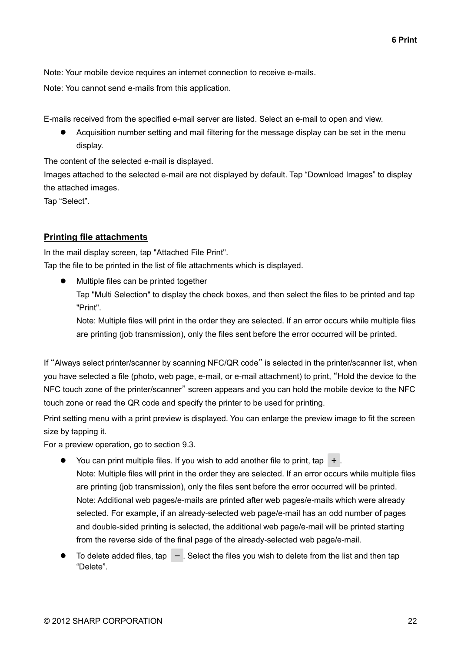Note: Your mobile device requires an internet connection to receive e-mails.

Note: You cannot send e-mails from this application.

E-mails received from the specified e-mail server are listed. Select an e-mail to open and view.

⚫ Acquisition number setting and mail filtering for the message display can be set in the menu display.

The content of the selected e-mail is displayed.

Images attached to the selected e-mail are not displayed by default. Tap "Download Images" to display the attached images.

Tap "Select".

#### <span id="page-21-0"></span>**Printing file attachments**

In the mail display screen, tap "Attached File Print". Tap the file to be printed in the list of file attachments which is displayed.

⚫ Multiple files can be printed together

Tap "Multi Selection" to display the check boxes, and then select the files to be printed and tap "Print".

Note: Multiple files will print in the order they are selected. If an error occurs while multiple files are printing (job transmission), only the files sent before the error occurred will be printed.

If "Always select printer/scanner by scanning NFC/QR code" is selected in the printer/scanner list, when you have selected a file (photo, web page, e-mail, or e-mail attachment) to print, "Hold the device to the NFC touch zone of the printer/scanner" screen appears and you can hold the mobile device to the NFC touch zone or read the QR code and specify the printer to be used for printing.

Print setting menu with a print preview is displayed. You can enlarge the preview image to fit the screen size by tapping it.

For a preview operation, go to section [9.3.](#page-29-0)

- You can print multiple files. If you wish to add another file to print, tap  $+$  . Note: Multiple files will print in the order they are selected. If an error occurs while multiple files are printing (job transmission), only the files sent before the error occurred will be printed. Note: Additional web pages/e-mails are printed after web pages/e-mails which were already selected. For example, if an already-selected web page/e-mail has an odd number of pages and double-sided printing is selected, the additional web page/e-mail will be printed starting from the reverse side of the final page of the already-selected web page/e-mail.
- To delete added files, tap  $\overline{-}$  Select the files you wish to delete from the list and then tap "Delete".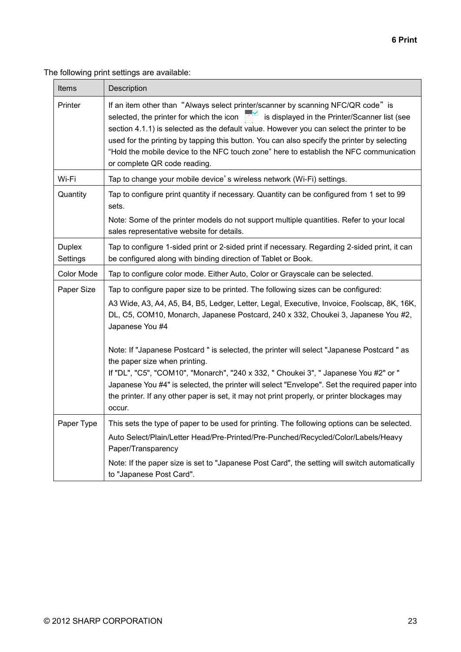The following print settings are available:

| Items                                                                                                                                                                                       | Description                                                                                                                                                                                                                                                                                                                                                                                                                                                                                         |  |
|---------------------------------------------------------------------------------------------------------------------------------------------------------------------------------------------|-----------------------------------------------------------------------------------------------------------------------------------------------------------------------------------------------------------------------------------------------------------------------------------------------------------------------------------------------------------------------------------------------------------------------------------------------------------------------------------------------------|--|
| Printer                                                                                                                                                                                     | If an item other than "Always select printer/scanner by scanning NFC/QR code" is<br>selected, the printer for which the icon<br>is displayed in the Printer/Scanner list (see<br>section 4.1.1) is selected as the default value. However you can select the printer to be<br>used for the printing by tapping this button. You can also specify the printer by selecting<br>"Hold the mobile device to the NFC touch zone" here to establish the NFC communication<br>or complete QR code reading. |  |
| Wi-Fi                                                                                                                                                                                       | Tap to change your mobile device's wireless network (Wi-Fi) settings.                                                                                                                                                                                                                                                                                                                                                                                                                               |  |
| Quantity                                                                                                                                                                                    | Tap to configure print quantity if necessary. Quantity can be configured from 1 set to 99<br>sets.<br>Note: Some of the printer models do not support multiple quantities. Refer to your local<br>sales representative website for details.                                                                                                                                                                                                                                                         |  |
| <b>Duplex</b><br>Tap to configure 1-sided print or 2-sided print if necessary. Regarding 2-sided print, it can<br>be configured along with binding direction of Tablet or Book.<br>Settings |                                                                                                                                                                                                                                                                                                                                                                                                                                                                                                     |  |
| Color Mode                                                                                                                                                                                  | Tap to configure color mode. Either Auto, Color or Grayscale can be selected.                                                                                                                                                                                                                                                                                                                                                                                                                       |  |
| Paper Size                                                                                                                                                                                  | Tap to configure paper size to be printed. The following sizes can be configured:<br>A3 Wide, A3, A4, A5, B4, B5, Ledger, Letter, Legal, Executive, Invoice, Foolscap, 8K, 16K,<br>DL, C5, COM10, Monarch, Japanese Postcard, 240 x 332, Choukei 3, Japanese You #2,<br>Japanese You #4                                                                                                                                                                                                             |  |
|                                                                                                                                                                                             | Note: If "Japanese Postcard " is selected, the printer will select "Japanese Postcard " as<br>the paper size when printing.<br>If "DL", "C5", "COM10", "Monarch", "240 x 332, " Choukei 3", " Japanese You #2" or "<br>Japanese You #4" is selected, the printer will select "Envelope". Set the required paper into<br>the printer. If any other paper is set, it may not print properly, or printer blockages may<br>occur.                                                                       |  |
| Paper Type                                                                                                                                                                                  | This sets the type of paper to be used for printing. The following options can be selected.<br>Auto Select/Plain/Letter Head/Pre-Printed/Pre-Punched/Recycled/Color/Labels/Heavy<br>Paper/Transparency<br>Note: If the paper size is set to "Japanese Post Card", the setting will switch automatically                                                                                                                                                                                             |  |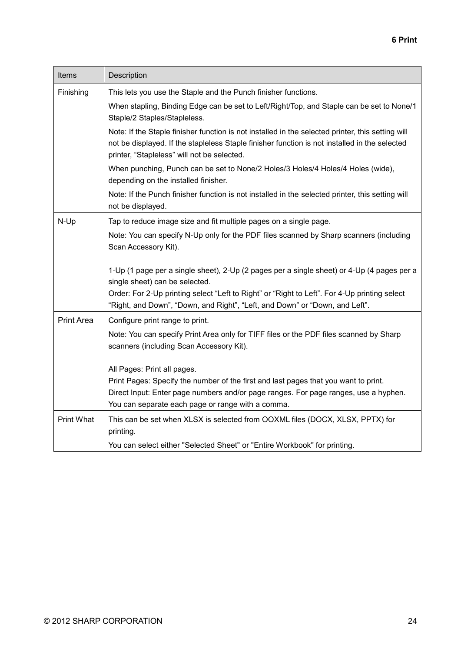| Items             | Description                                                                                                                                                                                                                                       |
|-------------------|---------------------------------------------------------------------------------------------------------------------------------------------------------------------------------------------------------------------------------------------------|
| Finishing         | This lets you use the Staple and the Punch finisher functions.                                                                                                                                                                                    |
|                   | When stapling, Binding Edge can be set to Left/Right/Top, and Staple can be set to None/1<br>Staple/2 Staples/Stapleless.                                                                                                                         |
|                   | Note: If the Staple finisher function is not installed in the selected printer, this setting will<br>not be displayed. If the stapleless Staple finisher function is not installed in the selected<br>printer, "Stapleless" will not be selected. |
|                   | When punching, Punch can be set to None/2 Holes/3 Holes/4 Holes/4 Holes (wide),<br>depending on the installed finisher.                                                                                                                           |
|                   | Note: If the Punch finisher function is not installed in the selected printer, this setting will<br>not be displayed.                                                                                                                             |
| $N-Up$            | Tap to reduce image size and fit multiple pages on a single page.                                                                                                                                                                                 |
|                   | Note: You can specify N-Up only for the PDF files scanned by Sharp scanners (including<br>Scan Accessory Kit).                                                                                                                                    |
|                   | 1-Up (1 page per a single sheet), 2-Up (2 pages per a single sheet) or 4-Up (4 pages per a<br>single sheet) can be selected.                                                                                                                      |
|                   | Order: For 2-Up printing select "Left to Right" or "Right to Left". For 4-Up printing select<br>"Right, and Down", "Down, and Right", "Left, and Down" or "Down, and Left".                                                                       |
| <b>Print Area</b> | Configure print range to print.                                                                                                                                                                                                                   |
|                   | Note: You can specify Print Area only for TIFF files or the PDF files scanned by Sharp<br>scanners (including Scan Accessory Kit).                                                                                                                |
|                   | All Pages: Print all pages.                                                                                                                                                                                                                       |
|                   | Print Pages: Specify the number of the first and last pages that you want to print.                                                                                                                                                               |
|                   | Direct Input: Enter page numbers and/or page ranges. For page ranges, use a hyphen.<br>You can separate each page or range with a comma.                                                                                                          |
| Print What        | This can be set when XLSX is selected from OOXML files (DOCX, XLSX, PPTX) for<br>printing.                                                                                                                                                        |
|                   | You can select either "Selected Sheet" or "Entire Workbook" for printing.                                                                                                                                                                         |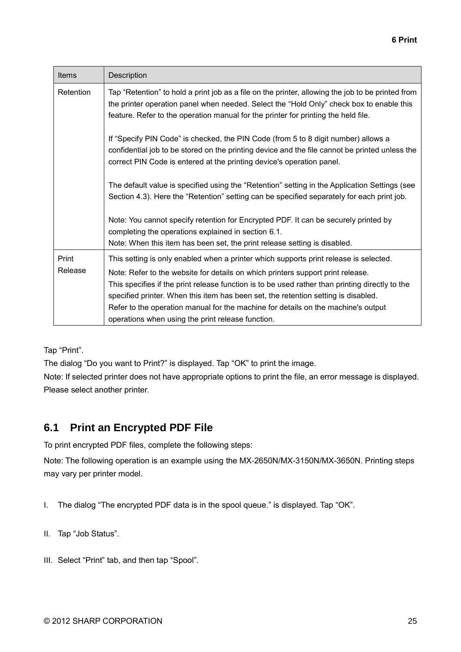| Items            | Description                                                                                                                                                                                                                                                                                                                                                                                                                                                                                                 |
|------------------|-------------------------------------------------------------------------------------------------------------------------------------------------------------------------------------------------------------------------------------------------------------------------------------------------------------------------------------------------------------------------------------------------------------------------------------------------------------------------------------------------------------|
| Retention        | Tap "Retention" to hold a print job as a file on the printer, allowing the job to be printed from<br>the printer operation panel when needed. Select the "Hold Only" check box to enable this<br>feature. Refer to the operation manual for the printer for printing the held file.                                                                                                                                                                                                                         |
|                  | If "Specify PIN Code" is checked, the PIN Code (from 5 to 8 digit number) allows a<br>confidential job to be stored on the printing device and the file cannot be printed unless the<br>correct PIN Code is entered at the printing device's operation panel.                                                                                                                                                                                                                                               |
|                  | The default value is specified using the "Retention" setting in the Application Settings (see<br>Section 4.3). Here the "Retention" setting can be specified separately for each print job.                                                                                                                                                                                                                                                                                                                 |
|                  | Note: You cannot specify retention for Encrypted PDF. It can be securely printed by<br>completing the operations explained in section 6.1.<br>Note: When this item has been set, the print release setting is disabled.                                                                                                                                                                                                                                                                                     |
| Print<br>Release | This setting is only enabled when a printer which supports print release is selected.<br>Note: Refer to the website for details on which printers support print release.<br>This specifies if the print release function is to be used rather than printing directly to the<br>specified printer. When this item has been set, the retention setting is disabled.<br>Refer to the operation manual for the machine for details on the machine's output<br>operations when using the print release function. |

Tap "Print".

The dialog "Do you want to Print?" is displayed. Tap "OK" to print the image.

Note: If selected printer does not have appropriate options to print the file, an error message is displayed. Please select another printer.

## <span id="page-24-0"></span>**6.1 Print an Encrypted PDF File**

To print encrypted PDF files, complete the following steps:

Note: The following operation is an example using the MX-2650N/MX-3150N/MX-3650N. Printing steps may vary per printer model.

- I. The dialog "The encrypted PDF data is in the spool queue." is displayed. Tap "OK".
- II. Tap "Job Status".
- III. Select "Print" tab, and then tap "Spool".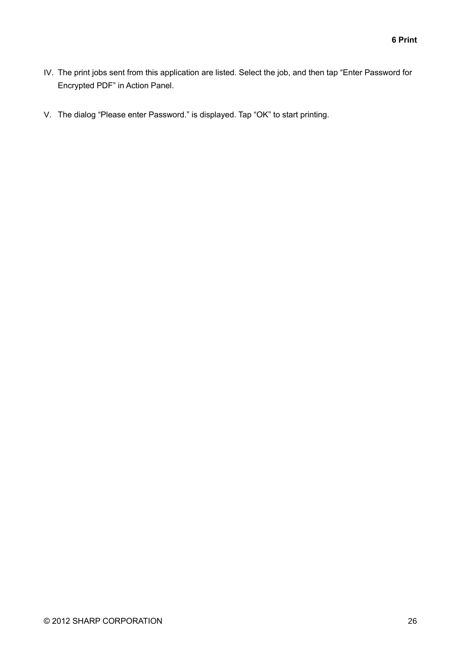- IV. The print jobs sent from this application are listed. Select the job, and then tap "Enter Password for Encrypted PDF" in Action Panel.
- V. The dialog "Please enter Password." is displayed. Tap "OK" to start printing.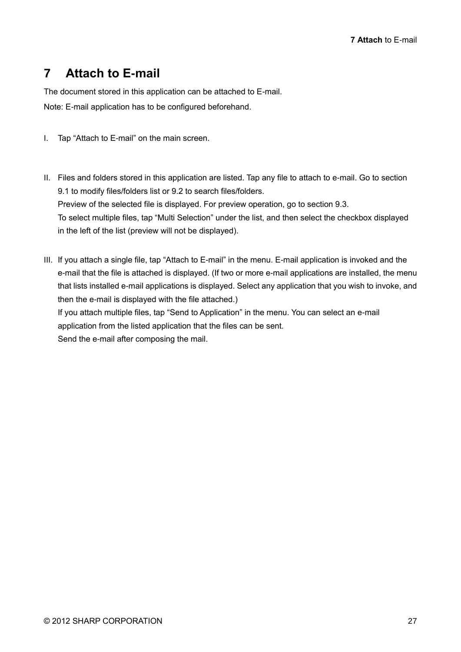# <span id="page-26-0"></span>**7 Attach to E-mail**

The document stored in this application can be attached to E-mail. Note: E-mail application has to be configured beforehand.

- I. Tap "Attach to E-mail" on the main screen.
- II. Files and folders stored in this application are listed. Tap any file to attach to e-mail. Go to section [9.1](#page-28-1) to modify files/folders list or [9.2](#page-28-2) to search files/folders. Preview of the selected file is displayed. For preview operation, go to section [9.3.](#page-29-0) To select multiple files, tap "Multi Selection" under the list, and then select the checkbox displayed in the left of the list (preview will not be displayed).

III. If you attach a single file, tap "Attach to E-mail" in the menu. E-mail application is invoked and the e-mail that the file is attached is displayed. (If two or more e-mail applications are installed, the menu that lists installed e-mail applications is displayed. Select any application that you wish to invoke, and then the e-mail is displayed with the file attached.)

If you attach multiple files, tap "Send to Application" in the menu. You can select an e-mail application from the listed application that the files can be sent.

Send the e-mail after composing the mail.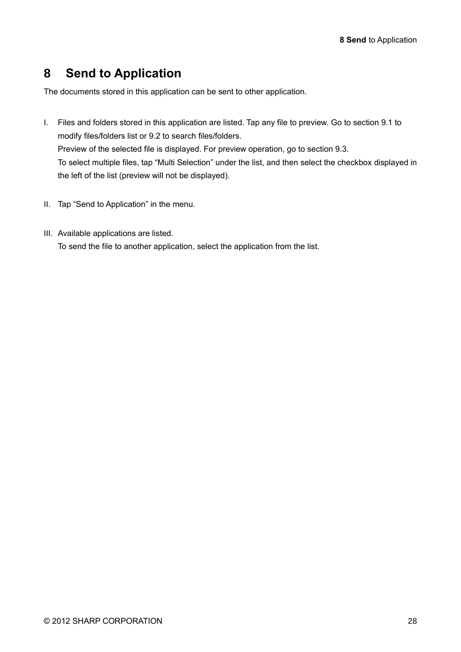# <span id="page-27-0"></span>**8 Send to Application**

The documents stored in this application can be sent to other application.

- I. Files and folders stored in this application are listed. Tap any file to preview. Go to section [9.1](#page-28-1) to modify files/folders list or [9.2](#page-28-2) to search files/folders. Preview of the selected file is displayed. For preview operation, go to section [9.3.](#page-29-0) To select multiple files, tap "Multi Selection" under the list, and then select the checkbox displayed in the left of the list (preview will not be displayed).
- II. Tap "Send to Application" in the menu.
- III. Available applications are listed. To send the file to another application, select the application from the list.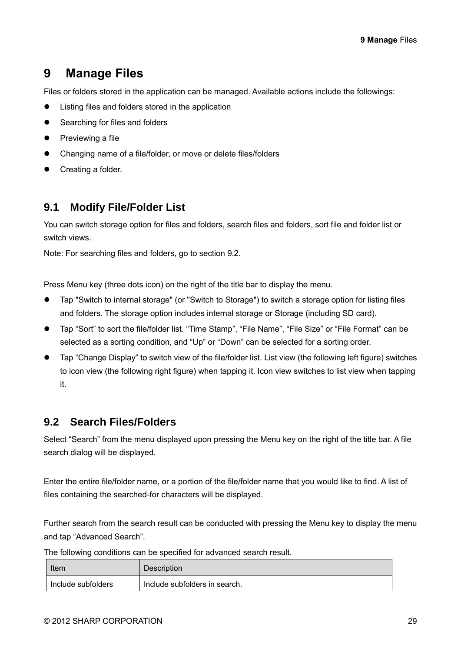## <span id="page-28-0"></span>**9 Manage Files**

Files or folders stored in the application can be managed. Available actions include the followings:

- Listing files and folders stored in the application
- Searching for files and folders
- Previewing a file
- ⚫ Changing name of a file/folder, or move or delete files/folders
- Creating a folder.

### <span id="page-28-1"></span>**9.1 Modify File/Folder List**

You can switch storage option for files and folders, search files and folders, sort file and folder list or switch views.

Note: For searching files and folders, go to section [9.2.](#page-28-2)

Press Menu key (three dots icon) on the right of the title bar to display the menu.

- ⚫ Tap "Switch to internal storage" (or "Switch to Storage") to switch a storage option for listing files and folders. The storage option includes internal storage or Storage (including SD card).
- Tap "Sort" to sort the file/folder list. "Time Stamp", "File Name", "File Size" or "File Format" can be selected as a sorting condition, and "Up" or "Down" can be selected for a sorting order.
- Tap "Change Display" to switch view of the file/folder list. List view (the following left figure) switches to icon view (the following right figure) when tapping it. Icon view switches to list view when tapping it.

### <span id="page-28-2"></span>**9.2 Search Files/Folders**

Select "Search" from the menu displayed upon pressing the Menu key on the right of the title bar. A file search dialog will be displayed.

Enter the entire file/folder name, or a portion of the file/folder name that you would like to find. A list of files containing the searched-for characters will be displayed.

Further search from the search result can be conducted with pressing the Menu key to display the menu and tap "Advanced Search".

The following conditions can be specified for advanced search result.

| Item               | <b>Description</b>            |
|--------------------|-------------------------------|
| Include subfolders | Include subfolders in search. |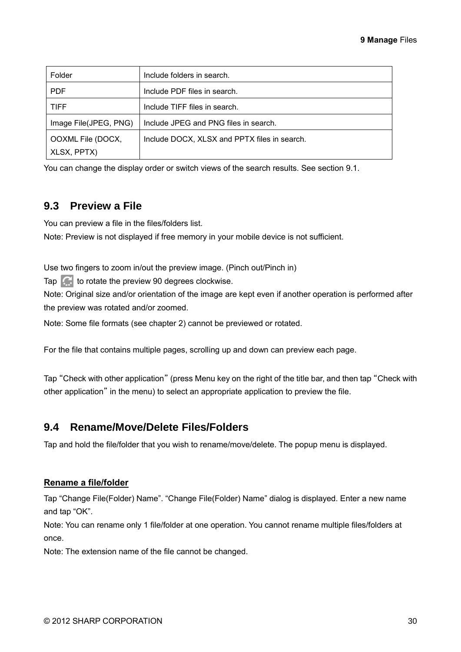| Folder                | Include folders in search.                   |
|-----------------------|----------------------------------------------|
| <b>PDF</b>            | Include PDF files in search.                 |
| <b>TIFF</b>           | Include TIFF files in search.                |
| Image File(JPEG, PNG) | Include JPEG and PNG files in search.        |
| OOXML File (DOCX,     | Include DOCX, XLSX and PPTX files in search. |
| XLSX, PPTX)           |                                              |

You can change the display order or switch views of the search results. See section [9.1.](#page-28-1)

### <span id="page-29-0"></span>**9.3 Preview a File**

You can preview a file in the files/folders list.

Note: Preview is not displayed if free memory in your mobile device is not sufficient.

Use two fingers to zoom in/out the preview image. (Pinch out/Pinch in)

Tap  $\left| \right\rangle$  to rotate the preview 90 degrees clockwise.

Note: Original size and/or orientation of the image are kept even if another operation is performed after the preview was rotated and/or zoomed.

Note: Some file formats (see chapter [2\)](#page-3-0) cannot be previewed or rotated.

For the file that contains multiple pages, scrolling up and down can preview each page.

Tap "Check with other application" (press Menu key on the right of the title bar, and then tap "Check with other application" in the menu) to select an appropriate application to preview the file.

#### <span id="page-29-1"></span>**9.4 Rename/Move/Delete Files/Folders**

Tap and hold the file/folder that you wish to rename/move/delete. The popup menu is displayed.

#### **Rename a file/folder**

Tap "Change File(Folder) Name". "Change File(Folder) Name" dialog is displayed. Enter a new name and tap "OK".

Note: You can rename only 1 file/folder at one operation. You cannot rename multiple files/folders at once.

Note: The extension name of the file cannot be changed.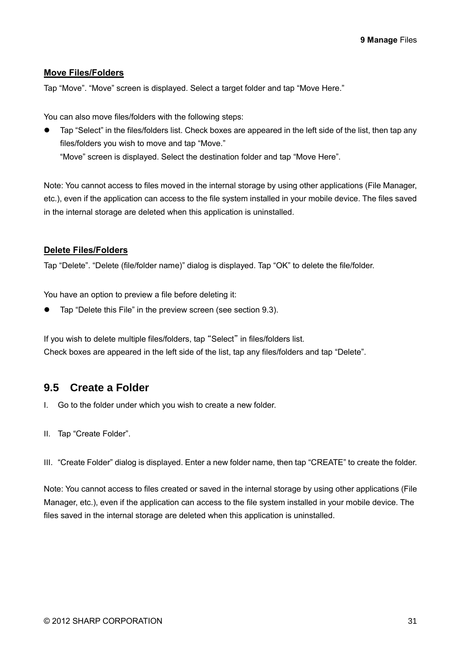#### **Move Files/Folders**

Tap "Move". "Move" screen is displayed. Select a target folder and tap "Move Here."

You can also move files/folders with the following steps:

⚫ Tap "Select" in the files/folders list. Check boxes are appeared in the left side of the list, then tap any files/folders you wish to move and tap "Move." "Move" screen is displayed. Select the destination folder and tap "Move Here".

Note: You cannot access to files moved in the internal storage by using other applications (File Manager, etc.), even if the application can access to the file system installed in your mobile device. The files saved in the internal storage are deleted when this application is uninstalled.

#### **Delete Files/Folders**

Tap "Delete". "Delete (file/folder name)" dialog is displayed. Tap "OK" to delete the file/folder.

You have an option to preview a file before deleting it:

⚫ Tap "Delete this File" in the preview screen (see section [9.3\)](#page-29-0).

If you wish to delete multiple files/folders, tap "Select" in files/folders list. Check boxes are appeared in the left side of the list, tap any files/folders and tap "Delete".

### <span id="page-30-0"></span>**9.5 Create a Folder**

- I. Go to the folder under which you wish to create a new folder.
- II. Tap "Create Folder".

III. "Create Folder" dialog is displayed. Enter a new folder name, then tap "CREATE" to create the folder.

Note: You cannot access to files created or saved in the internal storage by using other applications (File Manager, etc.), even if the application can access to the file system installed in your mobile device. The files saved in the internal storage are deleted when this application is uninstalled.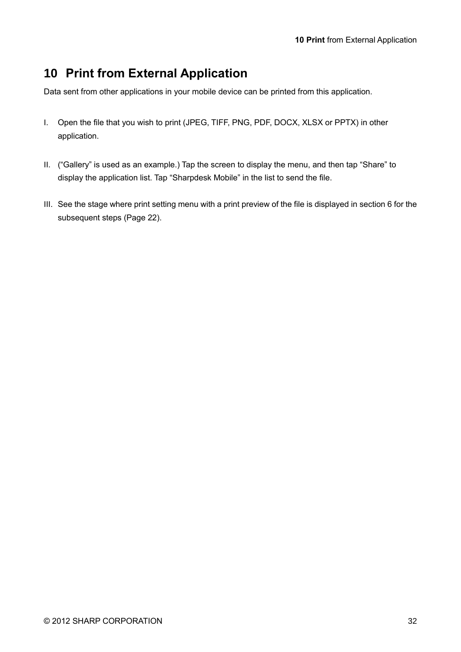# <span id="page-31-0"></span>**10 Print from External Application**

Data sent from other applications in your mobile device can be printed from this application.

- I. Open the file that you wish to print (JPEG, TIFF, PNG, PDF, DOCX, XLSX or PPTX) in other application.
- II. ("Gallery" is used as an example.) Tap the screen to display the menu, and then tap "Share" to display the application list. Tap "Sharpdesk Mobile" in the list to send the file.
- III. See the stage where print setting menu with a print preview of the file is displayed in section [6](#page-20-0) for the subsequent steps (Page [22\)](#page-21-0).